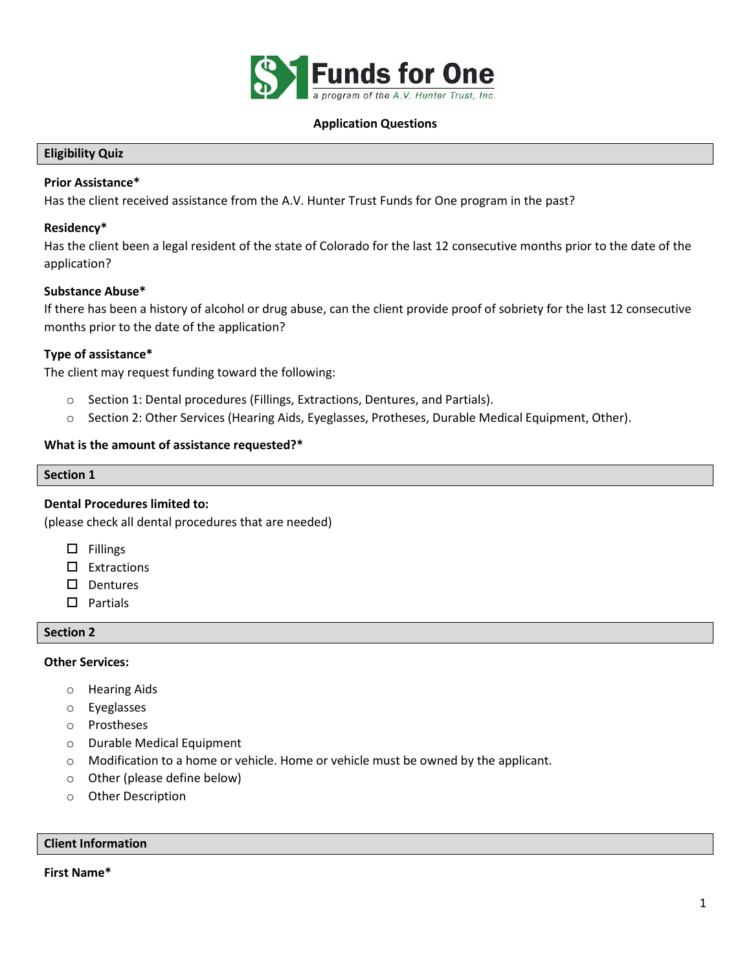

### **Application Questions**

### **Eligibility Quiz**

# **Prior Assistance\***

Has the client received assistance from the A.V. Hunter Trust Funds for One program in the past?

### **Residency\***

Has the client been a legal resident of the state of Colorado for the last 12 consecutive months prior to the date of the application?

# **Substance Abuse\***

If there has been a history of alcohol or drug abuse, can the client provide proof of sobriety for the last 12 consecutive months prior to the date of the application?

# **Type of assistance\***

The client may request funding toward the following:

- o Section 1: Dental procedures (Fillings, Extractions, Dentures, and Partials).
- o Section 2: Other Services (Hearing Aids, Eyeglasses, Protheses, Durable Medical Equipment, Other).

### **What is the amount of assistance requested?\***

### **Section 1**

# **Dental Procedures limited to:**

(please check all dental procedures that are needed)

- $\square$  Fillings
- $\square$  Extractions
- $\square$  Dentures
- $\square$  Partials

#### **Section 2**

### **Other Services:**

- o Hearing Aids
- o Eyeglasses
- o Prostheses
- o Durable Medical Equipment
- $\circ$  Modification to a home or vehicle. Home or vehicle must be owned by the applicant.
- o Other (please define below)
- o Other Description

# **Client Information**

### **First Name\***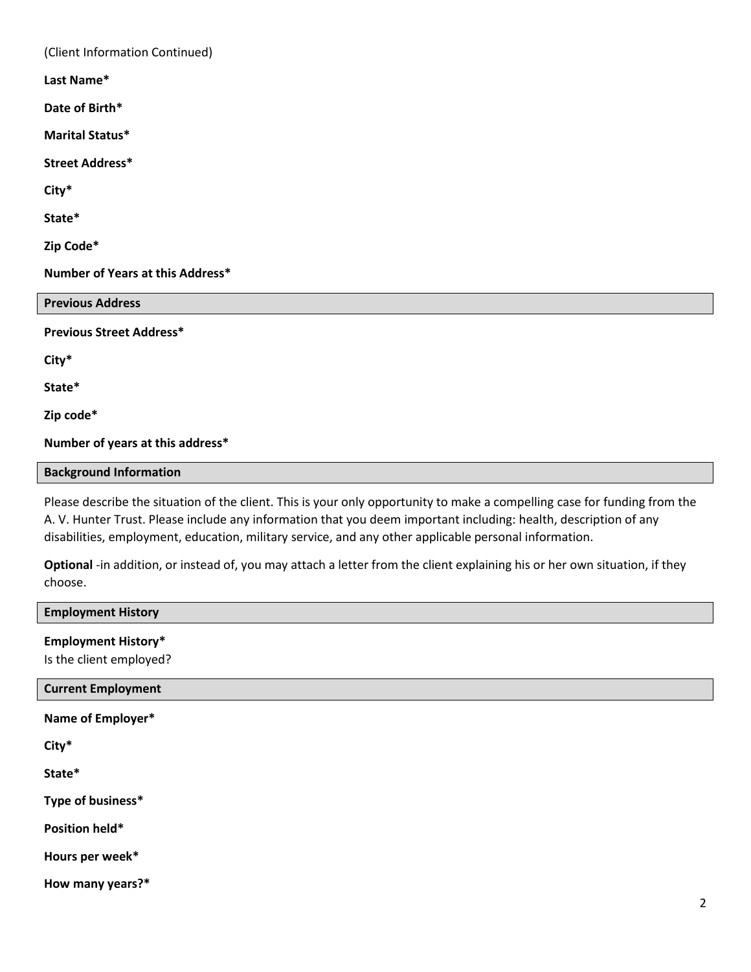(Client Information Continued) **Last Name\***

**Date of Birth\***

**Marital Status\***

**Street Address\***

**City\***

**State\***

**Zip Code\***

**Number of Years at this Address\***

| <b>Previous Address</b>         |  |
|---------------------------------|--|
| <b>Previous Street Address*</b> |  |
| City*                           |  |
| State*                          |  |
| Zip code*                       |  |

**Number of years at this address\***

### **Background Information**

Please describe the situation of the client. This is your only opportunity to make a compelling case for funding from the A. V. Hunter Trust. Please include any information that you deem important including: health, description of any disabilities, employment, education, military service, and any other applicable personal information.

**Optional** -in addition, or instead of, you may attach a letter from the client explaining his or her own situation, if they choose.

| <b>Employment History</b>                             |                |
|-------------------------------------------------------|----------------|
| <b>Employment History*</b><br>Is the client employed? |                |
| <b>Current Employment</b>                             |                |
| Name of Employer*                                     |                |
| City*                                                 |                |
| State*                                                |                |
| Type of business*                                     |                |
| Position held*                                        |                |
| Hours per week*                                       |                |
| How many years?*                                      |                |
|                                                       | $\overline{2}$ |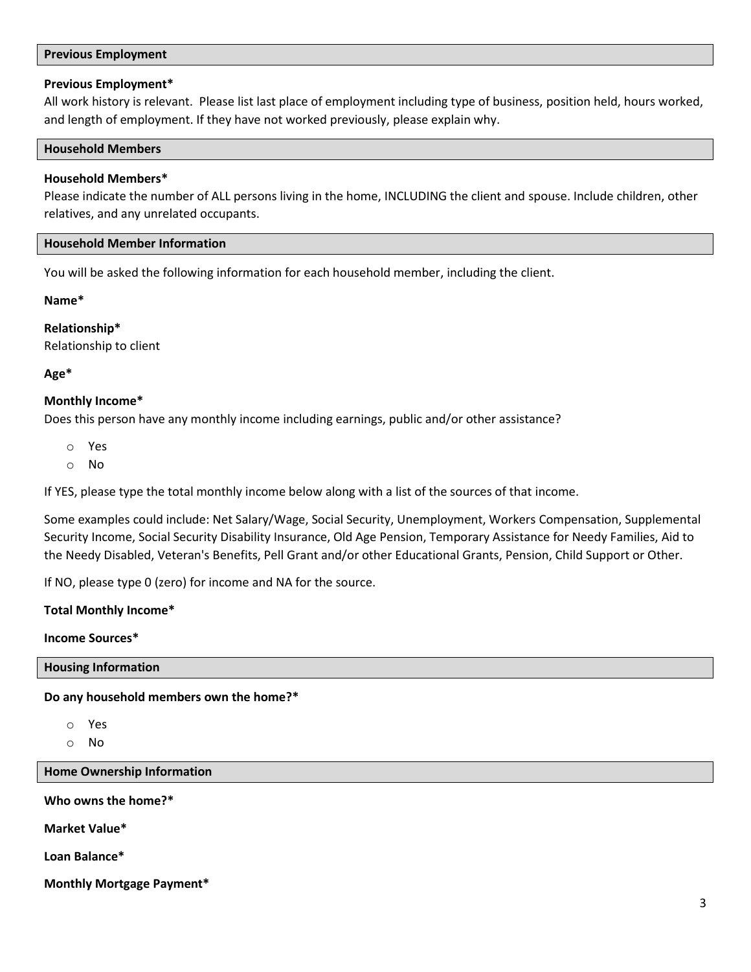#### **Previous Employment**

### **Previous Employment\***

All work history is relevant. Please list last place of employment including type of business, position held, hours worked, and length of employment. If they have not worked previously, please explain why.

#### **Household Members**

### **Household Members\***

Please indicate the number of ALL persons living in the home, INCLUDING the client and spouse. Include children, other relatives, and any unrelated occupants.

### **Household Member Information**

You will be asked the following information for each household member, including the client.

**Name\***

**Relationship\*** Relationship to client

# **Age\***

# **Monthly Income\***

Does this person have any monthly income including earnings, public and/or other assistance?

- o Yes
- o No

If YES, please type the total monthly income below along with a list of the sources of that income.

Some examples could include: Net Salary/Wage, Social Security, Unemployment, Workers Compensation, Supplemental Security Income, Social Security Disability Insurance, Old Age Pension, Temporary Assistance for Needy Families, Aid to the Needy Disabled, Veteran's Benefits, Pell Grant and/or other Educational Grants, Pension, Child Support or Other.

If NO, please type 0 (zero) for income and NA for the source.

#### **Total Monthly Income\***

#### **Income Sources\***

**Housing Information**

**Do any household members own the home?\***

- o Yes
- o No

**Home Ownership Information**

**Who owns the home?\***

**Market Value\***

**Loan Balance\***

**Monthly Mortgage Payment\***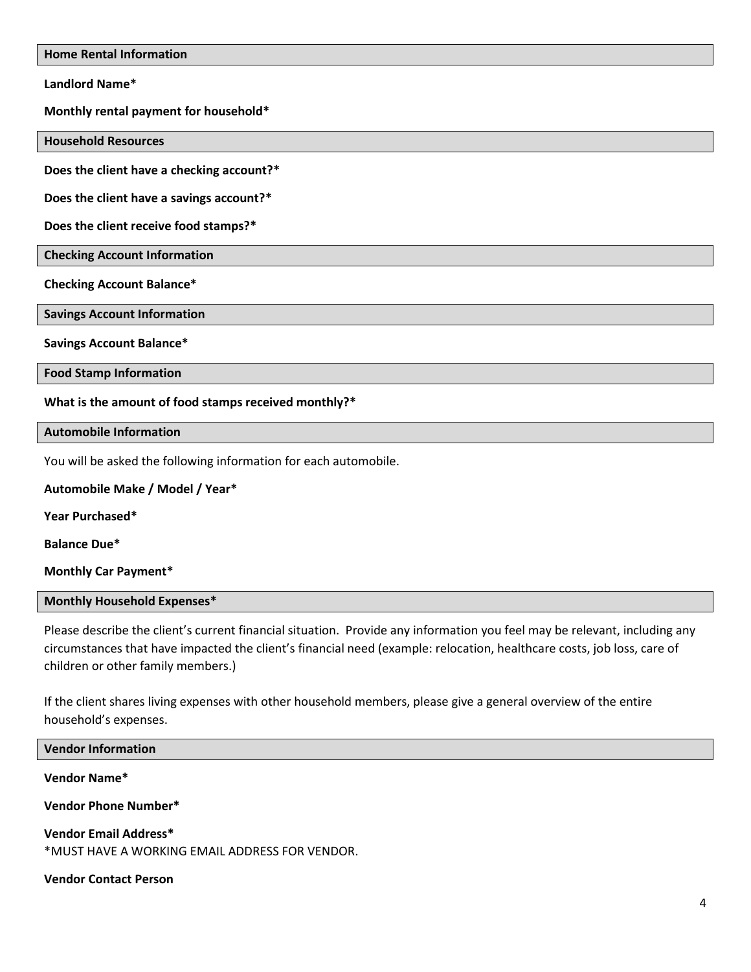**Home Rental Information**

**Landlord Name\***

**Monthly rental payment for household\***

**Household Resources**

**Does the client have a checking account?\***

**Does the client have a savings account?\***

**Does the client receive food stamps?\***

**Checking Account Information**

**Checking Account Balance\***

**Savings Account Information**

**Savings Account Balance\***

**Food Stamp Information**

**What is the amount of food stamps received monthly?\***

**Automobile Information**

You will be asked the following information for each automobile.

**Automobile Make / Model / Year\* Year Purchased\***

**Balance Due\***

**Monthly Car Payment\***

**Monthly Household Expenses\***

Please describe the client's current financial situation. Provide any information you feel may be relevant, including any circumstances that have impacted the client's financial need (example: relocation, healthcare costs, job loss, care of children or other family members.)

If the client shares living expenses with other household members, please give a general overview of the entire household's expenses.

**Vendor Information Vendor Name\* Vendor Phone Number\* Vendor Email Address\*** \*MUST HAVE A WORKING EMAIL ADDRESS FOR VENDOR.

**Vendor Contact Person**